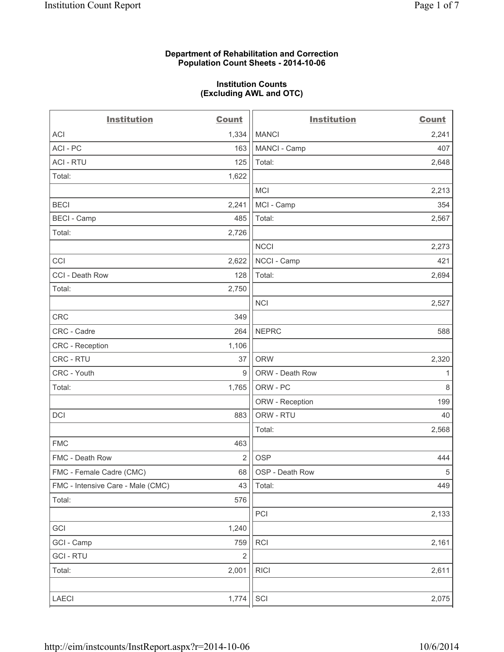#### **Department of Rehabilitation and Correction Population Count Sheets - 2014-10-06**

#### **Institution Counts (Excluding AWL and OTC)**

| <b>Institution</b>                | <b>Count</b>   | <b>Institution</b> | <b>Count</b> |
|-----------------------------------|----------------|--------------------|--------------|
| <b>ACI</b>                        | 1,334          | <b>MANCI</b>       | 2,241        |
| ACI - PC                          | 163            | MANCI - Camp       | 407          |
| <b>ACI - RTU</b>                  | 125            | Total:             | 2,648        |
| Total:                            | 1,622          |                    |              |
|                                   |                | <b>MCI</b>         | 2,213        |
| <b>BECI</b>                       | 2,241          | MCI - Camp         | 354          |
| <b>BECI - Camp</b>                | 485            | Total:             | 2,567        |
| Total:                            | 2,726          |                    |              |
|                                   |                | <b>NCCI</b>        | 2,273        |
| CCI                               | 2,622          | NCCI - Camp        | 421          |
| CCI - Death Row                   | 128            | Total:             | 2,694        |
| Total:                            | 2,750          |                    |              |
|                                   |                | <b>NCI</b>         | 2,527        |
| CRC                               | 349            |                    |              |
| CRC - Cadre                       | 264            | <b>NEPRC</b>       | 588          |
| <b>CRC</b> - Reception            | 1,106          |                    |              |
| CRC - RTU                         | 37             | <b>ORW</b>         | 2,320        |
| CRC - Youth                       | 9              | ORW - Death Row    | 1            |
| Total:                            | 1,765          | ORW - PC           | $\,8\,$      |
|                                   |                | ORW - Reception    | 199          |
| DCI                               | 883            | ORW - RTU          | 40           |
|                                   |                | Total:             | 2,568        |
| <b>FMC</b>                        | 463            |                    |              |
| FMC - Death Row                   | $\overline{2}$ | <b>OSP</b>         | 444          |
| FMC - Female Cadre (CMC)          | 68             | OSP - Death Row    | $\,$ 5 $\,$  |
| FMC - Intensive Care - Male (CMC) | 43             | Total:             | 449          |
| Total:                            | 576            |                    |              |
|                                   |                | PCI                | 2,133        |
| GCI                               | 1,240          |                    |              |
| GCI - Camp                        | 759            | RCI                | 2,161        |
| <b>GCI-RTU</b>                    | $\overline{2}$ |                    |              |
| Total:                            | 2,001          | <b>RICI</b>        | 2,611        |
| LAECI                             | 1,774          | SCI                | 2,075        |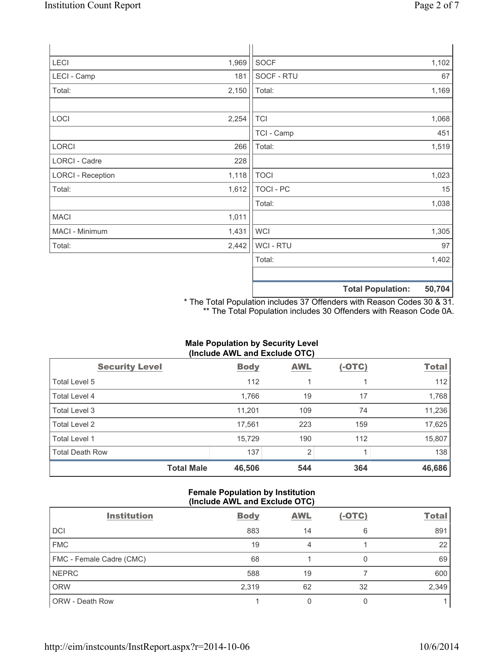| LECI                     | 1,969 | SOCF             |                          | 1,102  |
|--------------------------|-------|------------------|--------------------------|--------|
| LECI - Camp              | 181   | SOCF - RTU       |                          | 67     |
| Total:                   | 2,150 | Total:           |                          | 1,169  |
|                          |       |                  |                          |        |
| LOCI                     | 2,254 | <b>TCI</b>       |                          | 1,068  |
|                          |       | TCI - Camp       |                          | 451    |
| LORCI                    | 266   | Total:           |                          | 1,519  |
| LORCI - Cadre            | 228   |                  |                          |        |
| <b>LORCI - Reception</b> | 1,118 | <b>TOCI</b>      |                          | 1,023  |
| Total:                   | 1,612 | <b>TOCI - PC</b> |                          | 15     |
|                          |       | Total:           |                          | 1,038  |
| <b>MACI</b>              | 1,011 |                  |                          |        |
| MACI - Minimum           | 1,431 | <b>WCI</b>       |                          | 1,305  |
| Total:                   | 2,442 | WCI - RTU        |                          | 97     |
|                          |       | Total:           |                          | 1,402  |
|                          |       |                  |                          |        |
|                          |       |                  | <b>Total Population:</b> | 50,704 |

\* The Total Population includes 37 Offenders with Reason Codes 30 & 31. \*\* The Total Population includes 30 Offenders with Reason Code 0A.

# **Male Population by Security Level (Include AWL and Exclude OTC)**

| <b>Security Level</b>  | <b>Body</b> | <b>AWL</b>     | $(-OTC)$ | <b>Total</b> |
|------------------------|-------------|----------------|----------|--------------|
| Total Level 5          | 112         |                |          | 112          |
| <b>Total Level 4</b>   | 1,766       | 19             | 17       | 1,768        |
| Total Level 3          | 11,201      | 109            | 74       | 11,236       |
| Total Level 2          | 17,561      | 223            | 159      | 17,625       |
| Total Level 1          | 15,729      | 190            | 112      | 15,807       |
| <b>Total Death Row</b> | 137         | $\overline{2}$ |          | 138          |
| <b>Total Male</b>      | 46,506      | 544            | 364      | 46,686       |

## **Female Population by Institution (Include AWL and Exclude OTC)**

| <b>Institution</b>       | <b>Body</b> | <b>AWL</b> | $(-OTC)$ | <b>Total</b> |
|--------------------------|-------------|------------|----------|--------------|
| <b>DCI</b>               | 883         | 14         | 6        | 891          |
| <b>FMC</b>               | 19          | 4          |          | 22           |
| FMC - Female Cadre (CMC) | 68          |            |          | 69           |
| <b>NEPRC</b>             | 588         | 19         |          | 600          |
| <b>ORW</b>               | 2,319       | 62         | 32       | 2,349        |
| ORW - Death Row          |             |            |          |              |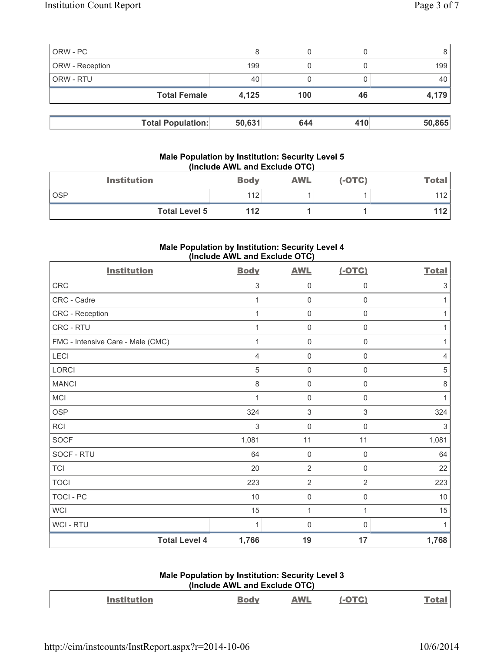|                 | <b>Total Female</b> | 4,125 | 100 | 46 | 4,179 |
|-----------------|---------------------|-------|-----|----|-------|
|                 |                     |       |     |    |       |
| ORW - RTU       |                     | 40    |     |    | 40    |
| ORW - Reception |                     | 199   |     |    | 199   |
| ORW - PC        |                     |       |     |    |       |

### **Male Population by Institution: Security Level 5 (Include AWL and Exclude OTC)**

|            | <b>Institution</b>   | <b>Body</b> | AWL | (-OTC) | <u>Total</u> |
|------------|----------------------|-------------|-----|--------|--------------|
| <b>OSP</b> |                      | 112         |     |        | 112          |
|            | <b>Total Level 5</b> | 112         |     |        | 112          |

# **Male Population by Institution: Security Level 4 (Include AWL and Exclude OTC)**

| <b>Institution</b>                | <b>Body</b>    | <b>AWL</b>          | $(-OTC)$            | <b>Total</b> |
|-----------------------------------|----------------|---------------------|---------------------|--------------|
| CRC                               | 3              | 0                   | $\mathbf 0$         | $\sqrt{3}$   |
| CRC - Cadre                       | 1              | $\mathsf 0$         | 0                   | 1            |
| CRC - Reception                   | 1              | $\mathbf 0$         | $\mathsf 0$         | 1            |
| CRC - RTU                         | 1              | $\mathbf 0$         | $\mathsf 0$         | 1            |
| FMC - Intensive Care - Male (CMC) | 1              | $\mathbf 0$         | $\mathbf 0$         | 1            |
| LECI                              | $\overline{4}$ | $\mathsf{O}\xspace$ | $\mathsf 0$         | 4            |
| LORCI                             | 5              | $\mathsf{O}\xspace$ | $\mathsf{O}\xspace$ | $\sqrt{5}$   |
| <b>MANCI</b>                      | $\,8\,$        | $\mathsf 0$         | $\mathsf 0$         | $\,8\,$      |
| MCI                               | 1              | $\mathbf 0$         | 0                   | 1            |
| <b>OSP</b>                        | 324            | $\,$ 3 $\,$         | 3                   | 324          |
| <b>RCI</b>                        | 3              | $\mathbf 0$         | $\mathbf 0$         | 3            |
| <b>SOCF</b>                       | 1,081          | 11                  | 11                  | 1,081        |
| SOCF - RTU                        | 64             | $\mathbf 0$         | $\mathsf{O}\xspace$ | 64           |
| <b>TCI</b>                        | 20             | $\overline{2}$      | $\mathsf{O}\xspace$ | 22           |
| <b>TOCI</b>                       | 223            | $\overline{2}$      | $\overline{2}$      | 223          |
| <b>TOCI - PC</b>                  | 10             | $\mathsf 0$         | 0                   | $10$         |
| <b>WCI</b>                        | 15             | $\mathbf{1}$        | 1                   | 15           |
| WCI - RTU                         | 1              | 0                   | 0                   | 1            |
| <b>Total Level 4</b>              | 1,766          | 19                  | 17                  | 1,768        |

## **Male Population by Institution: Security Level 3 (Include AWL and Exclude OTC)**

| <b>Institution</b> | <u>Body</u> | <b>AWL</b> | $(-OTC)$ | Total |
|--------------------|-------------|------------|----------|-------|
|                    |             |            |          |       |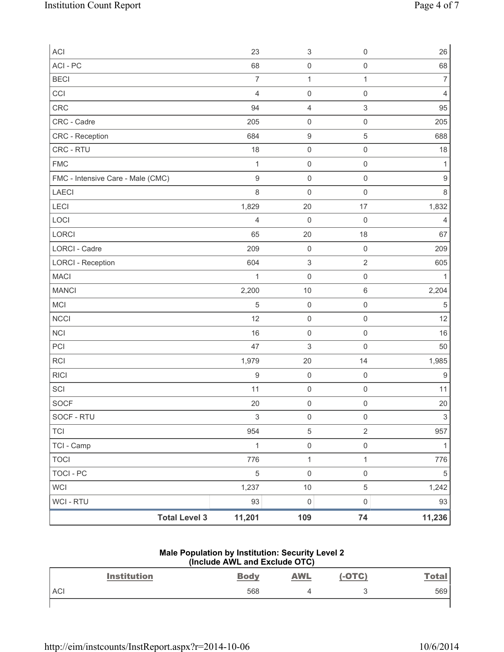| <b>Total Level 3</b>              | 11,201         | 109                       | 74                        | 11,236           |
|-----------------------------------|----------------|---------------------------|---------------------------|------------------|
| WCI - RTU                         | 93             | $\mathsf 0$               | $\mathsf{O}\xspace$       | 93               |
| <b>WCI</b>                        | 1,237          | $10$                      | $\,$ 5 $\,$               | 1,242            |
| <b>TOCI - PC</b>                  | 5              | $\mathsf{O}\xspace$       | $\mathsf{O}\xspace$       | $\sqrt{5}$       |
| <b>TOCI</b>                       | 776            | $\mathbf{1}$              | 1                         | 776              |
| TCI - Camp                        | $\mathbf{1}$   | $\mathsf{O}\xspace$       | $\mathsf{O}\xspace$       | 1                |
| <b>TCI</b>                        | 954            | 5                         | $\mathbf 2$               | 957              |
| SOCF - RTU                        | 3              | $\mathsf{O}\xspace$       | $\mathsf 0$               | $\mathsf 3$      |
| SOCF                              | 20             | $\mathsf{O}\xspace$       | $\mathsf 0$               | 20               |
| SCI                               | 11             | $\mathsf{O}\xspace$       | $\mathsf{O}\xspace$       | 11               |
| <b>RICI</b>                       | $\mathsf 9$    | $\mathbf 0$               | $\mathsf{O}\xspace$       | $9$              |
| <b>RCI</b>                        | 1,979          | 20                        | 14                        | 1,985            |
| PCI                               | 47             | 3                         | $\mathsf{O}\xspace$       | 50               |
| <b>NCI</b>                        | 16             | $\mathsf{O}\xspace$       | $\mathsf{O}\xspace$       | 16               |
| <b>NCCI</b>                       | 12             | $\mathsf 0$               | $\mathsf 0$               | 12               |
| MCI                               | 5              | $\mathsf{O}\xspace$       | $\mathsf 0$               | $\sqrt{5}$       |
| <b>MANCI</b>                      | 2,200          | 10                        | $\,6\,$                   | 2,204            |
| <b>MACI</b>                       | $\mathbf{1}$   | $\mathbf 0$               | $\mathsf{O}\xspace$       | 1                |
| <b>LORCI - Reception</b>          | 604            | $\ensuremath{\mathsf{3}}$ | $\sqrt{2}$                | 605              |
| LORCI - Cadre                     | 209            | $\mathsf{O}\xspace$       | $\mathsf{O}\xspace$       | 209              |
| LORCI                             | 65             | 20                        | 18                        | 67               |
| LOCI                              | $\overline{4}$ | $\mathbf 0$               | $\mathsf{O}\xspace$       | $\overline{4}$   |
| <b>LECI</b>                       | 1,829          | 20                        | 17                        | 1,832            |
| LAECI                             | 8              | $\mathbf 0$               | $\mathsf{O}\xspace$       | 8                |
| FMC - Intensive Care - Male (CMC) | $\mathsf g$    | $\mathbf 0$               | $\mathsf{O}\xspace$       | $\boldsymbol{9}$ |
| <b>FMC</b>                        | $\mathbf{1}$   | $\mathsf{O}\xspace$       | $\mathsf 0$               | 1                |
| CRC - RTU                         | 18             | $\mathsf{O}\xspace$       | $\mathsf{O}\xspace$       | 18               |
| CRC - Reception                   | 684            | $\boldsymbol{9}$          | $\mathbf 5$               | 688              |
| CRC - Cadre                       | 205            | $\mathsf{O}\xspace$       | $\mathsf 0$               | 205              |
| CRC                               | 94             | 4                         | $\ensuremath{\mathsf{3}}$ | 95               |
| CCI                               | $\overline{4}$ | $\mathbf 0$               | $\mathsf{O}\xspace$       | $\overline{4}$   |
| <b>BECI</b>                       | $\overline{7}$ | $\mathbf 1$               | 1                         | $\overline{7}$   |
| ACI - PC                          | 68             | $\mathsf 0$               | $\mathsf 0$               | 68               |
| ACI                               | 23             | $\ensuremath{\mathsf{3}}$ | $\mathsf{O}\xspace$       | 26               |

#### **Male Population by Institution: Security Level 2 (Include AWL and Exclude OTC)**

|            | <b>Institution</b> | <b>Body</b> | <b>AWL</b> | $(-OTC)$ | <u>Total</u> |
|------------|--------------------|-------------|------------|----------|--------------|
| <b>ACI</b> |                    | 568         |            | L.       | 569          |
|            |                    |             |            |          |              |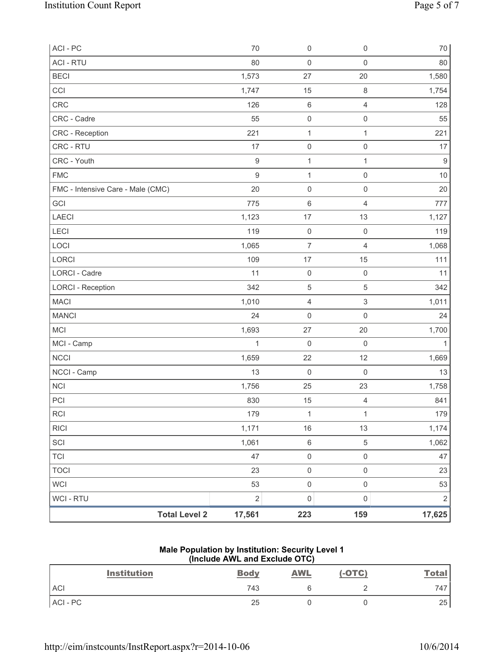| ACI - PC                          | 70             | $\mathsf 0$         | $\mathsf{O}\xspace$       | $70\,$           |
|-----------------------------------|----------------|---------------------|---------------------------|------------------|
| <b>ACI - RTU</b>                  | 80             | $\mathbf 0$         | $\mathsf{O}\xspace$       | 80               |
| <b>BECI</b>                       | 1,573          | 27                  | 20                        | 1,580            |
| CCI                               | 1,747          | 15                  | $\,8\,$                   | 1,754            |
| CRC                               | 126            | 6                   | $\overline{4}$            | 128              |
| CRC - Cadre                       | 55             | $\mathsf{O}\xspace$ | $\mathsf 0$               | 55               |
| CRC - Reception                   | 221            | 1                   | $\mathbf{1}$              | 221              |
| CRC - RTU                         | 17             | $\mathsf{O}\xspace$ | $\mathsf{O}\xspace$       | 17               |
| CRC - Youth                       | $\mathsf g$    | $\mathbf 1$         | $\mathbf{1}$              | $\boldsymbol{9}$ |
| <b>FMC</b>                        | $\overline{9}$ | $\mathbf 1$         | $\mathsf{O}\xspace$       | 10               |
| FMC - Intensive Care - Male (CMC) | 20             | $\mathsf{O}\xspace$ | $\mathsf{O}\xspace$       | 20               |
| GCI                               | 775            | 6                   | $\overline{4}$            | 777              |
| LAECI                             | 1,123          | 17                  | 13                        | 1,127            |
| LECI                              | 119            | $\mathsf{O}\xspace$ | $\mathsf 0$               | 119              |
| LOCI                              | 1,065          | 7                   | $\overline{4}$            | 1,068            |
| LORCI                             | 109            | 17                  | 15                        | 111              |
| LORCI - Cadre                     | 11             | $\mathbf 0$         | $\mathsf{O}\xspace$       | 11               |
| <b>LORCI - Reception</b>          | 342            | $\sqrt{5}$          | $\sqrt{5}$                | 342              |
| <b>MACI</b>                       | 1,010          | 4                   | $\ensuremath{\mathsf{3}}$ | 1,011            |
| <b>MANCI</b>                      | 24             | 0                   | $\mathsf{O}\xspace$       | 24               |
| MCI                               | 1,693          | 27                  | 20                        | 1,700            |
| MCI - Camp                        | $\mathbf{1}$   | $\mathbf 0$         | $\mathbf 0$               | 1                |
| <b>NCCI</b>                       | 1,659          | 22                  | 12                        | 1,669            |
| NCCI - Camp                       | 13             | $\mathbf 0$         | $\mathsf{O}\xspace$       | 13               |
| NCI                               | 1,756          | 25                  | 23                        | 1,758            |
| PCI                               | 830            | 15                  | $\overline{4}$            | 841              |
| <b>RCI</b>                        | 179            | 1                   | 1                         | 179              |
| <b>RICI</b>                       | 1,171          | 16                  | 13                        | 1,174            |
| SCI                               | 1,061          | $\,6\,$             | $\sqrt{5}$                | 1,062            |
| <b>TCI</b>                        | 47             | $\boldsymbol{0}$    | $\mathsf{O}\xspace$       | 47               |
| <b>TOCI</b>                       | 23             | $\mathsf{O}\xspace$ | $\mathsf 0$               | 23               |
| <b>WCI</b>                        | 53             | $\pmb{0}$           | $\mathsf 0$               | 53               |
| WCI - RTU                         | $\sqrt{2}$     | $\mathsf{O}\xspace$ | $\mathsf 0$               | $\sqrt{2}$       |
| <b>Total Level 2</b>              | 17,561         | 223                 | 159                       | 17,625           |

#### **Male Population by Institution: Security Level 1 (Include AWL and Exclude OTC)**

| <b>Institution</b> | <b>Body</b> | <b>AWL</b> | $(-OTC)$ | <b>Total</b> |
|--------------------|-------------|------------|----------|--------------|
| <b>ACI</b>         | 743         |            |          | 747          |
| ACI-PC             | 25          |            |          | 25           |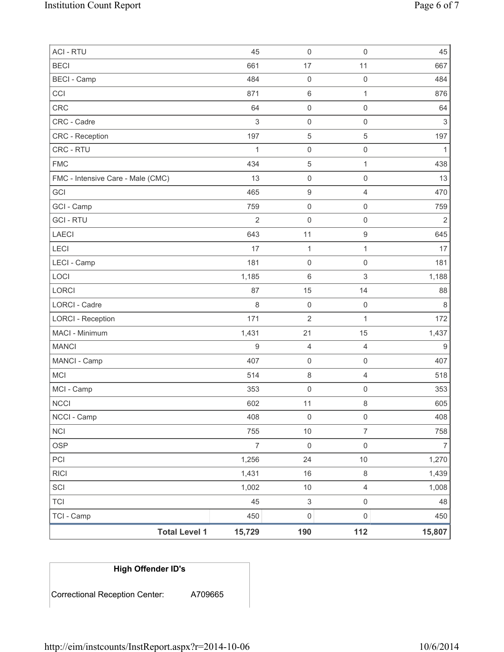| <b>ACI - RTU</b>                  | 45               | $\mathsf 0$               | $\mathsf{O}\xspace$ | 45             |
|-----------------------------------|------------------|---------------------------|---------------------|----------------|
| <b>BECI</b>                       | 661              | 17                        | 11                  | 667            |
| <b>BECI</b> - Camp                | 484              | $\mathbf 0$               | $\mathsf{O}\xspace$ | 484            |
| CCI                               | 871              | $\,6\,$                   | $\mathbf{1}$        | 876            |
| <b>CRC</b>                        | 64               | $\mathsf 0$               | $\mathsf{O}\xspace$ | 64             |
| CRC - Cadre                       | 3                | $\mathbf 0$               | $\mathsf 0$         | $\sqrt{3}$     |
| <b>CRC</b> - Reception            | 197              | $\,$ 5 $\,$               | $\,$ 5 $\,$         | 197            |
| CRC - RTU                         | 1                | $\mathbf 0$               | $\mathsf{O}\xspace$ | 1              |
| <b>FMC</b>                        | 434              | $\mathbf 5$               | $\mathbf{1}$        | 438            |
| FMC - Intensive Care - Male (CMC) | 13               | $\mathsf 0$               | $\mathsf{O}\xspace$ | 13             |
| GCI                               | 465              | $\boldsymbol{9}$          | $\overline{4}$      | 470            |
| GCI - Camp                        | 759              | $\mathsf 0$               | $\mathsf{O}\xspace$ | 759            |
| <b>GCI - RTU</b>                  | $\overline{2}$   | $\mathsf 0$               | $\mathsf{O}\xspace$ | $\overline{2}$ |
| <b>LAECI</b>                      | 643              | 11                        | $\boldsymbol{9}$    | 645            |
| LECI                              | 17               | $\mathbf{1}$              | 1                   | 17             |
| LECI - Camp                       | 181              | $\mathsf 0$               | $\mathsf{O}\xspace$ | 181            |
| LOCI                              | 1,185            | $\,6\,$                   | 3                   | 1,188          |
| LORCI                             | 87               | 15                        | 14                  | 88             |
| LORCI - Cadre                     | $\,8\,$          | $\mathbf 0$               | $\mathbf 0$         | $\,8\,$        |
| <b>LORCI - Reception</b>          | 171              | $\sqrt{2}$                | $\mathbf{1}$        | 172            |
| MACI - Minimum                    | 1,431            | 21                        | 15                  | 1,437          |
| <b>MANCI</b>                      | $\boldsymbol{9}$ | $\overline{4}$            | $\overline{4}$      | $9\,$          |
| MANCI - Camp                      | 407              | $\mathsf 0$               | $\mathsf{O}\xspace$ | 407            |
| <b>MCI</b>                        | 514              | 8                         | $\overline{4}$      | 518            |
| MCI - Camp                        | 353              | $\mathsf{O}\xspace$       | $\mathsf 0$         | 353            |
| <b>NCCI</b>                       | 602              | 11                        | 8                   | 605            |
| NCCI - Camp                       | 408              | 0                         | 0                   | 408            |
| <b>NCI</b>                        | 755              | $10$                      | $\overline{7}$      | 758            |
| <b>OSP</b>                        | $\overline{7}$   | $\mathsf 0$               | $\mathsf{O}\xspace$ | $\overline{7}$ |
| PCI                               | 1,256            | 24                        | $10$                | 1,270          |
| <b>RICI</b>                       | 1,431            | 16                        | 8                   | 1,439          |
| SCI                               | 1,002            | $10$                      | $\overline{4}$      | 1,008          |
| <b>TCI</b>                        | 45               | $\ensuremath{\mathsf{3}}$ | $\mathsf{O}\xspace$ | 48             |
| TCI - Camp                        | 450              | $\mathsf{O}\xspace$       | $\mathsf{O}\xspace$ | 450            |
| <b>Total Level 1</b>              | 15,729           | 190                       | 112                 | 15,807         |

# **High Offender ID's**

Correctional Reception Center: A709665